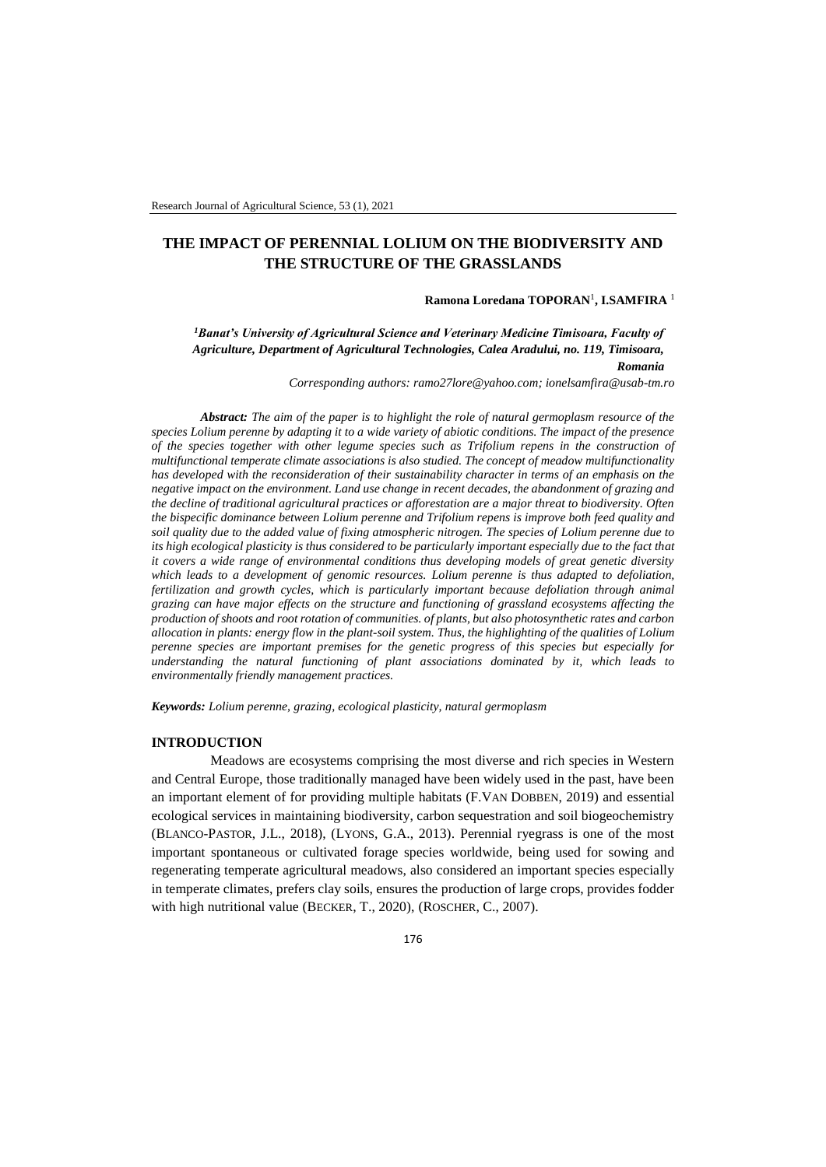# **THE IMPACT OF PERENNIAL LOLIUM ON THE BIODIVERSITY AND THE STRUCTURE OF THE GRASSLANDS**

## **Ramona Loredana TOPORAN**<sup>1</sup> **, I.SAMFIRA** <sup>1</sup>

*<sup>1</sup>Banat's University of Agricultural Science and Veterinary Medicine Timisoara, Faculty of Agriculture, Department of Agricultural Technologies, Calea Aradului, no. 119, Timisoara, Romania*

*Corresponding authors: [ramo27lore@yahoo.com;](mailto:ramo27lore@yahoo.com) [ionelsamfira@usab-tm.ro](mailto:ionelsamfira@usab-tm.ro)*

*Abstract: The aim of the paper is to highlight the role of natural germoplasm resource of the species Lolium perenne by adapting it to a wide variety of abiotic conditions. The impact of the presence of the species together with other legume species such as Trifolium repens in the construction of multifunctional temperate climate associations is also studied. The concept of meadow multifunctionality has developed with the reconsideration of their sustainability character in terms of an emphasis on the negative impact on the environment. Land use change in recent decades, the abandonment of grazing and the decline of traditional agricultural practices or afforestation are a major threat to biodiversity. Often the bispecific dominance between Lolium perenne and Trifolium repens is improve both feed quality and soil quality due to the added value of fixing atmospheric nitrogen. The species of Lolium perenne due to its high ecological plasticity is thus considered to be particularly important especially due to the fact that it covers a wide range of environmental conditions thus developing models of great genetic diversity which leads to a development of genomic resources. Lolium perenne is thus adapted to defoliation, fertilization and growth cycles, which is particularly important because defoliation through animal grazing can have major effects on the structure and functioning of grassland ecosystems affecting the production of shoots and root rotation of communities. of plants, but also photosynthetic rates and carbon allocation in plants: energy flow in the plant-soil system. Thus, the highlighting of the qualities of Lolium perenne species are important premises for the genetic progress of this species but especially for understanding the natural functioning of plant associations dominated by it, which leads to environmentally friendly management practices.*

*Keywords: Lolium perenne, grazing, ecological plasticity, natural germoplasm*

#### **INTRODUCTION**

Meadows are ecosystems comprising the most diverse and rich species in Western and Central Europe, those traditionally managed have been widely used in the past, have been an important element of for providing multiple habitats (F.VAN DOBBEN, 2019) and essential ecological services in maintaining biodiversity, carbon sequestration and soil biogeochemistry (BLANCO-PASTOR, J.L., 2018), (LYONS, G.A., 2013). Perennial ryegrass is one of the most important spontaneous or cultivated forage species worldwide, being used for sowing and regenerating temperate agricultural meadows, also considered an important species especially in temperate climates, prefers clay soils, ensures the production of large crops, provides fodder with high nutritional value (BECKER, T., 2020), (ROSCHER, C., 2007).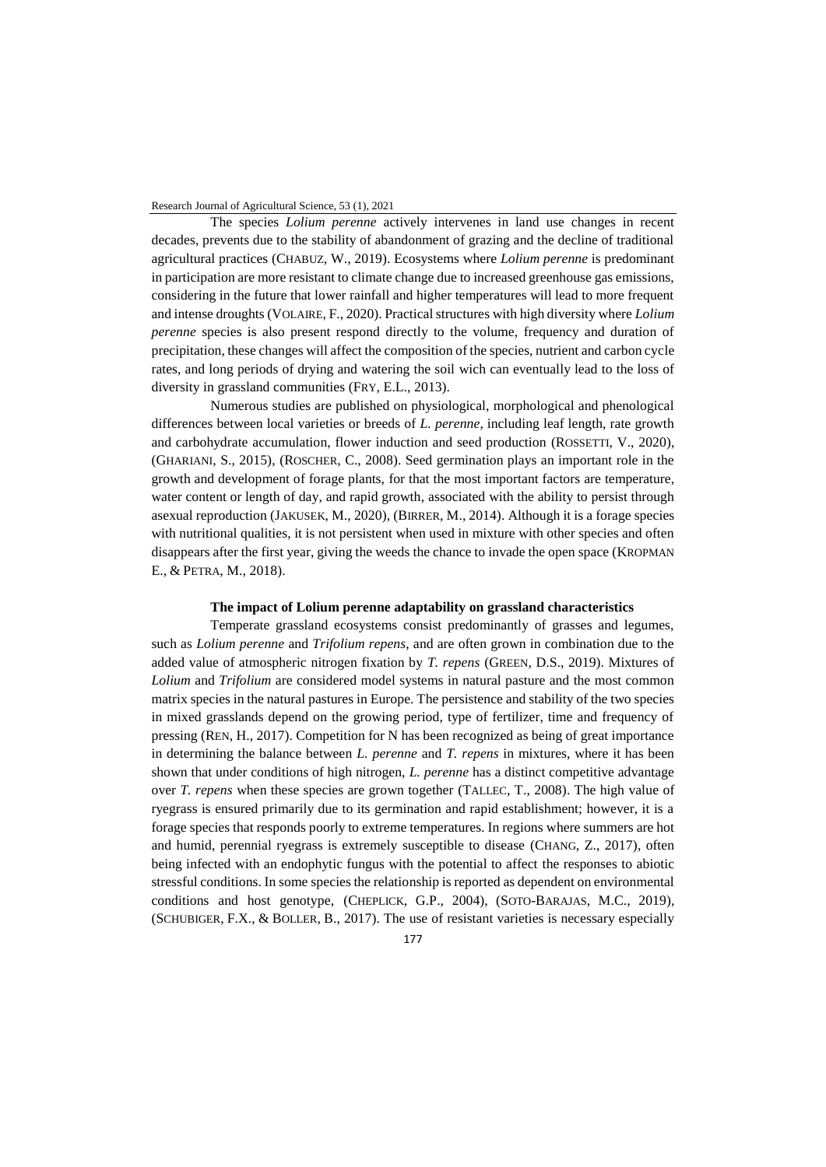The species *Lolium perenne* actively intervenes in land use changes in recent decades, prevents due to the stability of abandonment of grazing and the decline of traditional agricultural practices (CHABUZ, W., 2019). Ecosystems where *Lolium perenne* is predominant in participation are more resistant to climate change due to increased greenhouse gas emissions, considering in the future that lower rainfall and higher temperatures will lead to more frequent and intense droughts (VOLAIRE, F., 2020). Practical structures with high diversity where *Lolium perenne* species is also present respond directly to the volume, frequency and duration of precipitation, these changes will affect the composition of the species, nutrient and carbon cycle rates, and long periods of drying and watering the soil wich can eventually lead to the loss of diversity in grassland communities (FRY, E.L., 2013).

Numerous studies are published on physiological, morphological and phenological differences between local varieties or breeds of *L. perenne*, including leaf length, rate growth and carbohydrate accumulation, flower induction and seed production (ROSSETTI, V., 2020), (GHARIANI, S., 2015), (ROSCHER, C., 2008). Seed germination plays an important role in the growth and development of forage plants, for that the most important factors are temperature, water content or length of day, and rapid growth, associated with the ability to persist through asexual reproduction (JAKUSEK, M., 2020), (BIRRER, M., 2014). Although it is a forage species with nutritional qualities, it is not persistent when used in mixture with other species and often disappears after the first year, giving the weeds the chance to invade the open space (KROPMAN E., & PETRA, M., 2018).

#### **The impact of Lolium perenne adaptability on grassland characteristics**

Temperate grassland ecosystems consist predominantly of grasses and legumes, such as *Lolium perenne* and *Trifolium repens*, and are often grown in combination due to the added value of atmospheric nitrogen fixation by *T. repens* (GREEN, D.S., 2019). Mixtures of *Lolium* and *Trifolium* are considered model systems in natural pasture and the most common matrix species in the natural pastures in Europe. The persistence and stability of the two species in mixed grasslands depend on the growing period, type of fertilizer, time and frequency of pressing (REN, H., 2017). Competition for N has been recognized as being of great importance in determining the balance between *L. perenne* and *T. repens* in mixtures, where it has been shown that under conditions of high nitrogen, *L. perenne* has a distinct competitive advantage over *T. repens* when these species are grown together (TALLEC, T., 2008). The high value of ryegrass is ensured primarily due to its germination and rapid establishment; however, it is a forage species that responds poorly to extreme temperatures. In regions where summers are hot and humid, perennial ryegrass is extremely susceptible to disease (CHANG, Z., 2017), often being infected with an endophytic fungus with the potential to affect the responses to abiotic stressful conditions. In some species the relationship is reported as dependent on environmental conditions and host genotype, (CHEPLICK, G.P., 2004), (SOTO-BARAJAS, M.C., 2019), (SCHUBIGER, F.X., & BOLLER, B., 2017). The use of resistant varieties is necessary especially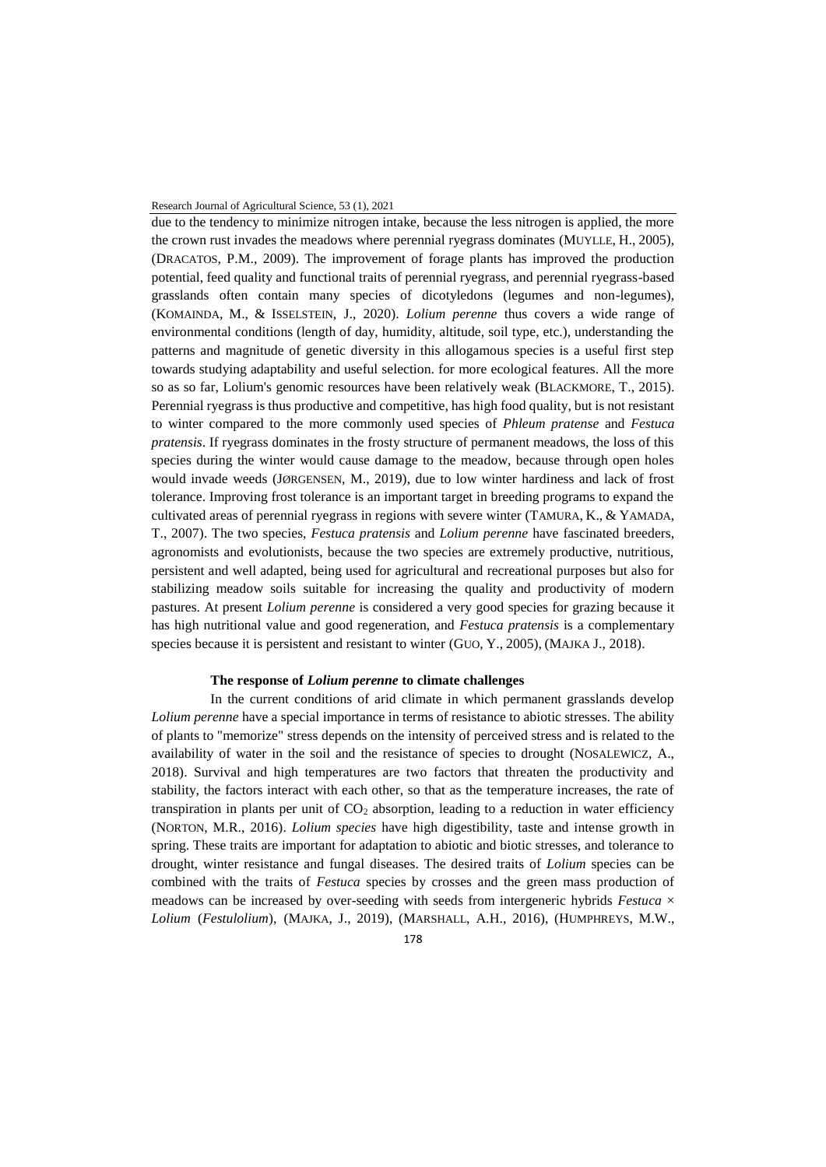due to the tendency to minimize nitrogen intake, because the less nitrogen is applied, the more the crown rust invades the meadows where perennial ryegrass dominates (MUYLLE, H., 2005), (DRACATOS, P.M., 2009). The improvement of forage plants has improved the production potential, feed quality and functional traits of perennial ryegrass, and perennial ryegrass-based grasslands often contain many species of dicotyledons (legumes and non-legumes), (KOMAINDA, M., & ISSELSTEIN, J., 2020). *Lolium perenne* thus covers a wide range of environmental conditions (length of day, humidity, altitude, soil type, etc.), understanding the patterns and magnitude of genetic diversity in this allogamous species is a useful first step towards studying adaptability and useful selection. for more ecological features. All the more so as so far, Lolium's genomic resources have been relatively weak (BLACKMORE, T., 2015). Perennial ryegrass is thus productive and competitive, has high food quality, but is not resistant to winter compared to the more commonly used species of *Phleum pratense* and *Festuca pratensis*. If ryegrass dominates in the frosty structure of permanent meadows, the loss of this species during the winter would cause damage to the meadow, because through open holes would invade weeds (JØRGENSEN, M., 2019), due to low winter hardiness and lack of frost tolerance. Improving frost tolerance is an important target in breeding programs to expand the cultivated areas of perennial ryegrass in regions with severe winter (TAMURA, K., & YAMADA, T., 2007). The two species, *Festuca pratensis* and *Lolium perenne* have fascinated breeders, agronomists and evolutionists, because the two species are extremely productive, nutritious, persistent and well adapted, being used for agricultural and recreational purposes but also for stabilizing meadow soils suitable for increasing the quality and productivity of modern pastures. At present *Lolium perenne* is considered a very good species for grazing because it has high nutritional value and good regeneration, and *Festuca pratensis* is a complementary species because it is persistent and resistant to winter (GUO, Y., 2005), (MAJKA J., 2018).

# **The response of** *Lolium perenne* **to climate challenges**

In the current conditions of arid climate in which permanent grasslands develop *Lolium perenne* have a special importance in terms of resistance to abiotic stresses. The ability of plants to "memorize" stress depends on the intensity of perceived stress and is related to the availability of water in the soil and the resistance of species to drought (NOSALEWICZ, A., 2018). Survival and high temperatures are two factors that threaten the productivity and stability, the factors interact with each other, so that as the temperature increases, the rate of transpiration in plants per unit of  $CO<sub>2</sub>$  absorption, leading to a reduction in water efficiency (NORTON, M.R., 2016). *Lolium species* have high digestibility, taste and intense growth in spring. These traits are important for adaptation to abiotic and biotic stresses, and tolerance to drought, winter resistance and fungal diseases. The desired traits of *Lolium* species can be combined with the traits of *Festuca* species by crosses and the green mass production of meadows can be increased by over-seeding with seeds from intergeneric hybrids *Festuca* × *Lolium* (*Festulolium*), (MAJKA, J., 2019), (MARSHALL, A.H., 2016), (HUMPHREYS, M.W.,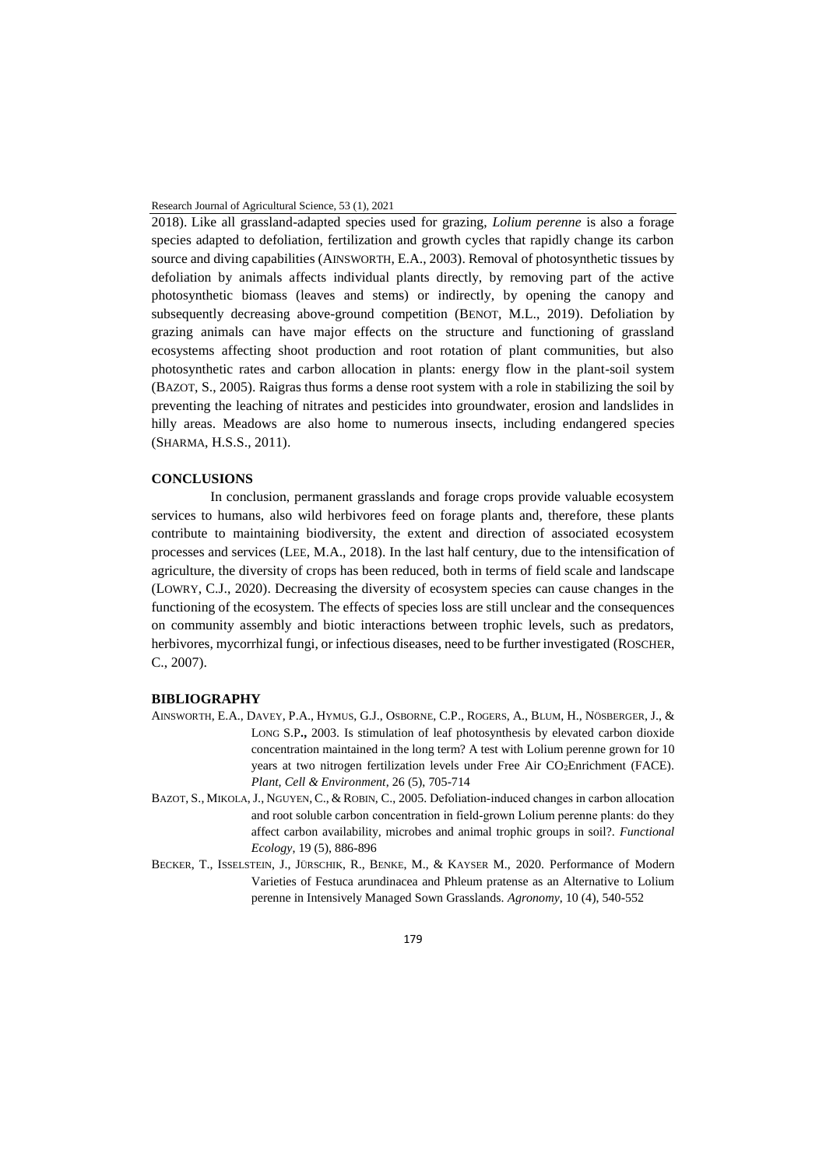2018). Like all grassland-adapted species used for grazing, *Lolium perenne* is also a forage species adapted to defoliation, fertilization and growth cycles that rapidly change its carbon source and diving capabilities (AINSWORTH, E.A., 2003). Removal of photosynthetic tissues by defoliation by animals affects individual plants directly, by removing part of the active photosynthetic biomass (leaves and stems) or indirectly, by opening the canopy and subsequently decreasing above-ground competition (BENOT, M.L., 2019). Defoliation by grazing animals can have major effects on the structure and functioning of grassland ecosystems affecting shoot production and root rotation of plant communities, but also photosynthetic rates and carbon allocation in plants: energy flow in the plant-soil system (BAZOT, S., 2005). Raigras thus forms a dense root system with a role in stabilizing the soil by preventing the leaching of nitrates and pesticides into groundwater, erosion and landslides in hilly areas. Meadows are also home to numerous insects, including endangered species (SHARMA, H.S.S., 2011).

# **CONCLUSIONS**

In conclusion, permanent grasslands and forage crops provide valuable ecosystem services to humans, also wild herbivores feed on forage plants and, therefore, these plants contribute to maintaining biodiversity, the extent and direction of associated ecosystem processes and services (LEE, M.A., 2018). In the last half century, due to the intensification of agriculture, the diversity of crops has been reduced, both in terms of field scale and landscape (LOWRY, C.J., 2020). Decreasing the diversity of ecosystem species can cause changes in the functioning of the ecosystem. The effects of species loss are still unclear and the consequences on community assembly and biotic interactions between trophic levels, such as predators, herbivores, mycorrhizal fungi, or infectious diseases, need to be further investigated (ROSCHER, C., 2007).

## **BIBLIOGRAPHY**

- AINSWORTH, E.A., DAVEY, P.A., HYMUS, G.J., OSBORNE, C.P., ROGERS, A., BLUM, H., NÖSBERGER, J., & LONG S.P**.,** 2003. Is stimulation of leaf photosynthesis by elevated carbon dioxide concentration maintained in the long term? A test with Lolium perenne grown for 10 years at two nitrogen fertilization levels under Free Air CO2Enrichment (FACE). *Plant, Cell & Environment*, 26 (5), 705-714
- BAZOT, S., MIKOLA, J., NGUYEN, C., & ROBIN, C., 2005. Defoliation-induced changes in carbon allocation and root soluble carbon concentration in field‐grown Lolium perenne plants: do they affect carbon availability, microbes and animal trophic groups in soil?. *Functional Ecology*, 19 (5), 886-896
- BECKER, T., ISSELSTEIN, J., JÜRSCHIK, R., BENKE, M., & KAYSER M., 2020. Performance of Modern Varieties of Festuca arundinacea and Phleum pratense as an Alternative to Lolium perenne in Intensively Managed Sown Grasslands. *Agronomy*, 10 (4), 540-552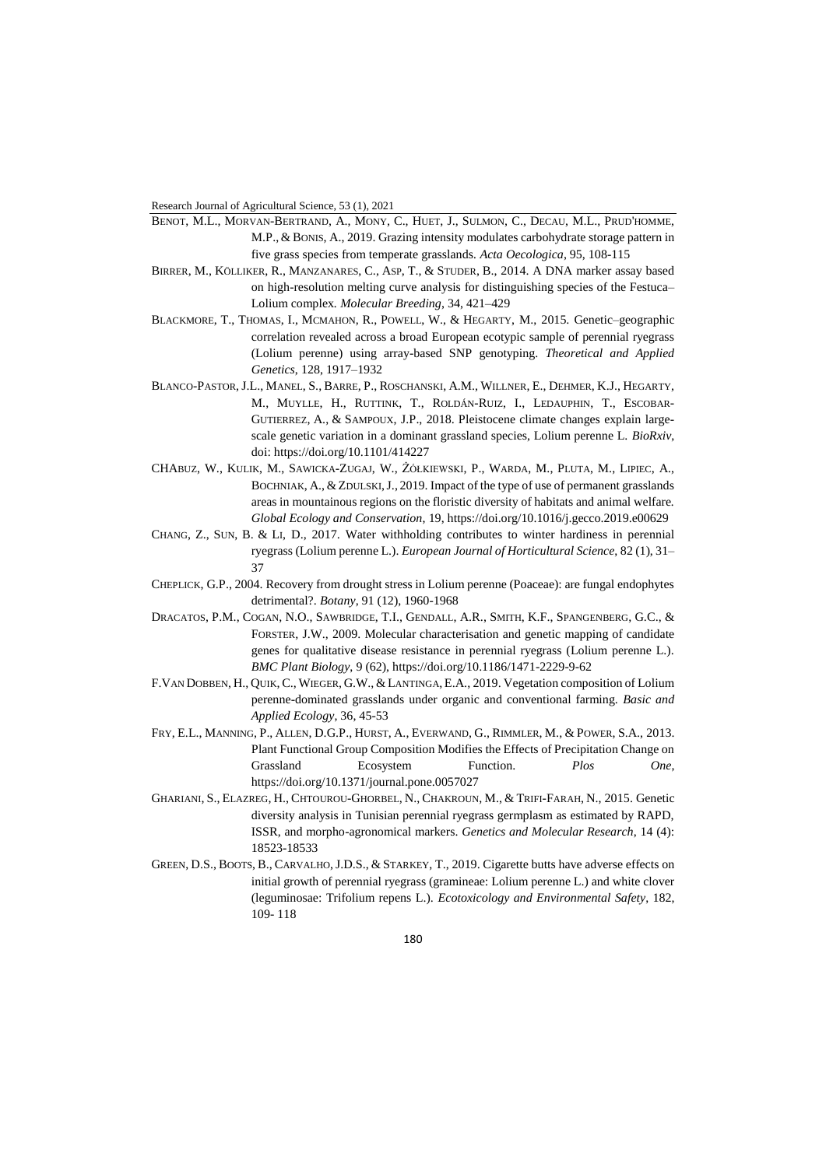- BENOT, M.L., MORVAN-BERTRAND, A., MONY, C., HUET, J., SULMON, C., DECAU, M.L., PRUD'HOMME, M.P., & BONIS, A., 2019. Grazing intensity modulates carbohydrate storage pattern in five grass species from temperate grasslands*. Acta Oecologica*, 95, 108-115
- BIRRER, M., KÖLLIKER, R., MANZANARES, C., ASP, T., & STUDER, B., 2014. A DNA marker assay based on high-resolution melting curve analysis for distinguishing species of the Festuca– Lolium complex*. Molecular Breeding*, 34, 421–429
- BLACKMORE, T., THOMAS, I., MCMAHON, R., POWELL, W., & HEGARTY, M., 2015. Genetic–geographic correlation revealed across a broad European ecotypic sample of perennial ryegrass (Lolium perenne) using array-based SNP genotyping. *Theoretical and Applied Genetics*, 128, 1917–1932
- BLANCO-PASTOR, J.L., MANEL, S., BARRE, P., ROSCHANSKI, A.M., WILLNER, E., DEHMER, K.J., HEGARTY, M., MUYLLE, H., RUTTINK, T., ROLDÁN-RUIZ, I., LEDAUPHIN, T., ESCOBAR-GUTIERREZ, A., & SAMPOUX, J.P., 2018. Pleistocene climate changes explain largescale genetic variation in a dominant grassland species, Lolium perenne L. *BioRxiv*, doi: https://doi.org/10.1101/414227
- CHABUZ, W., KULIK, M., SAWICKA-ZUGAJ, W., ŻÓŁKIEWSKI, P., WARDA, M., PLUTA, M., LIPIEC, A., BOCHNIAK, A., & ZDULSKI, J., 2019. Impact of the type of use of permanent grasslands areas in mountainous regions on the floristic diversity of habitats and animal welfare*. Global Ecology and Conservation*, 19, https://doi.org/10.1016/j.gecco.2019.e00629
- CHANG, Z., SUN, B. & LI, D., 2017. Water withholding contributes to winter hardiness in perennial ryegrass (Lolium perenne L.). *European Journal of Horticultural Science*, 82 (1), 31– 37
- CHEPLICK, G.P., 2004. Recovery from drought stress in Lolium perenne (Poaceae): are fungal endophytes detrimental?. *Botany*, 91 (12), 1960-1968
- DRACATOS, P.M., COGAN, N.O., SAWBRIDGE, T.I., GENDALL, A.R., SMITH, K.F., SPANGENBERG, G.C., & FORSTER, J.W., 2009. Molecular characterisation and genetic mapping of candidate genes for qualitative disease resistance in perennial ryegrass (Lolium perenne L.). *BMC Plant Biology*, 9 (62), https://doi.org/10.1186/1471-2229-9-62
- F.VAN DOBBEN, H., QUIK,C., WIEGER, G.W., &LANTINGA, E.A., 2019. Vegetation composition of Lolium perenne-dominated grasslands under organic and conventional farming. *Basic and Applied Ecology*, 36, 45-53
- FRY, E.L., MANNING, P., ALLEN, D.G.P., HURST, A., EVERWAND, G., RIMMLER, M., & POWER, S.A., 2013. Plant Functional Group Composition Modifies the Effects of Precipitation Change on Grassland Ecosystem Function. *Plos One*, https://doi.org/10.1371/journal.pone.0057027
- GHARIANI, S., ELAZREG, H., CHTOUROU-GHORBEL, N., CHAKROUN, M., & TRIFI-FARAH, N., 2015. Genetic diversity analysis in Tunisian perennial ryegrass germplasm as estimated by RAPD, ISSR, and morpho-agronomical markers. *Genetics and Molecular Research*, 14 (4): 18523-18533
- GREEN, D.S., BOOTS, B., CARVALHO, J.D.S., & STARKEY, T., 2019. Cigarette butts have adverse effects on initial growth of perennial ryegrass (gramineae: Lolium perenne L.) and white clover (leguminosae: Trifolium repens L.). *Ecotoxicology and Environmental Safety*, 182, 109- 118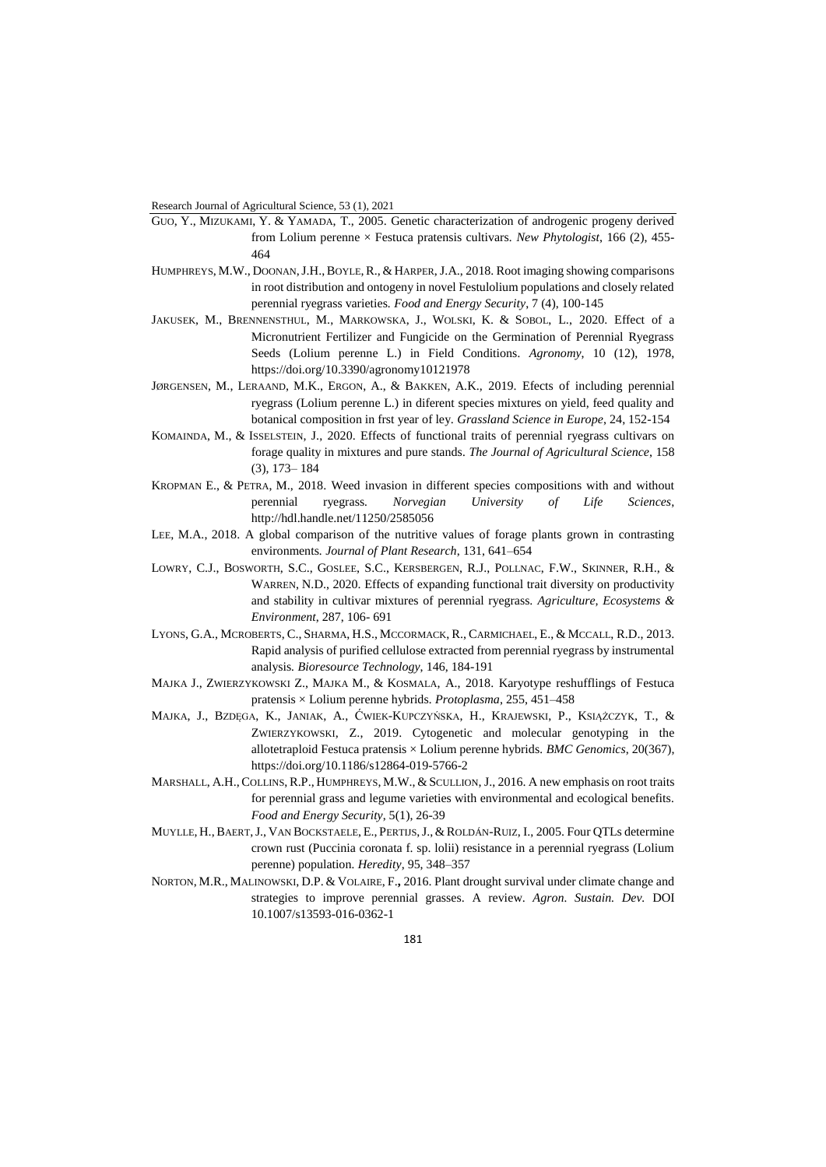- GUO, Y., MIZUKAMI, Y. & YAMADA, T., 2005. Genetic characterization of androgenic progeny derived from Lolium perenne × Festuca pratensis cultivars*. New Phytologist*, 166 (2), 455- 464
- HUMPHREYS, M.W., DOONAN, J.H., BOYLE, R., & HARPER, J.A., 2018. Root imaging showing comparisons in root distribution and ontogeny in novel Festulolium populations and closely related perennial ryegrass varieties*. Food and Energy Security*, 7 (4), 100-145
- JAKUSEK, M., BRENNENSTHUL, M., MARKOWSKA, J., WOLSKI, K. & SOBOL, L., 2020. Effect of a Micronutrient Fertilizer and Fungicide on the Germination of Perennial Ryegrass Seeds (Lolium perenne L.) in Field Conditions*. Agronomy*, 10 (12), 1978, https://doi.org/10.3390/agronomy10121978
- JØRGENSEN, M., LERAAND, M.K., ERGON, A., & BAKKEN, A.K., 2019. Efects of including perennial ryegrass (Lolium perenne L.) in diferent species mixtures on yield, feed quality and botanical composition in frst year of ley. *Grassland Science in Europe*, 24, 152-154
- KOMAINDA, M., & ISSELSTEIN, J., 2020. Effects of functional traits of perennial ryegrass cultivars on forage quality in mixtures and pure stands*. The Journal of Agricultural Science*, 158 (3), 173– 184
- KROPMAN E., & PETRA, M., 2018. Weed invasion in different species compositions with and without perennial ryegrass*. Norvegian University of Life Sciences*, <http://hdl.handle.net/11250/2585056>
- LEE, M.A., 2018. A global comparison of the nutritive values of forage plants grown in contrasting environments*. Journal of Plant Research*, 131, 641–654
- LOWRY, C.J., BOSWORTH, S.C., GOSLEE, S.C., KERSBERGEN, R.J., POLLNAC, F.W., SKINNER, R.H., & WARREN, N.D., 2020. Effects of expanding functional trait diversity on productivity and stability in cultivar mixtures of perennial ryegrass. *Agriculture, Ecosystems & Environment*, 287, 106- 691
- LYONS, G.A., MCROBERTS, C., SHARMA, H.S., MCCORMACK, R., CARMICHAEL, E., & MCCALL, R.D., 2013. Rapid analysis of purified cellulose extracted from perennial ryegrass by instrumental analysis*. Bioresource Technology*, 146, 184-191
- MAJKA J., ZWIERZYKOWSKI Z., MAJKA M., & KOSMALA, A., 2018. Karyotype reshufflings of Festuca pratensis × Lolium perenne hybrids*. Protoplasma*, 255, 451–458
- MAJKA, J., BZDĘGA, K., JANIAK, A., ĆWIEK-KUPCZYŃSKA, H., KRAJEWSKI, P., KSIĄŻCZYK, T., & ZWIERZYKOWSKI, Z., 2019. Cytogenetic and molecular genotyping in the allotetraploid Festuca pratensis × Lolium perenne hybrids*. BMC Genomics*, 20(367), https://doi.org/10.1186/s12864-019-5766-2
- MARSHALL, A.H., COLLINS, R.P., HUMPHREYS, M.W., & SCULLION, J., 2016. A new emphasis on root traits for perennial grass and legume varieties with environmental and ecological benefits*. Food and Energy Security*, 5(1), 26-39
- MUYLLE, H.,BAERT,J., VAN BOCKSTAELE, E., PERTIJS,J., & ROLDÁN-RUIZ, I., 2005. Four QTLs determine crown rust (Puccinia coronata f. sp. lolii) resistance in a perennial ryegrass (Lolium perenne) population*. Heredity*, 95, 348–357
- NORTON, M.R., MALINOWSKI, D.P. & VOLAIRE, F.**,** 2016. Plant drought survival under climate change and strategies to improve perennial grasses. A review. *Agron. Sustain. Dev.* DOI 10.1007/s13593-016-0362-1